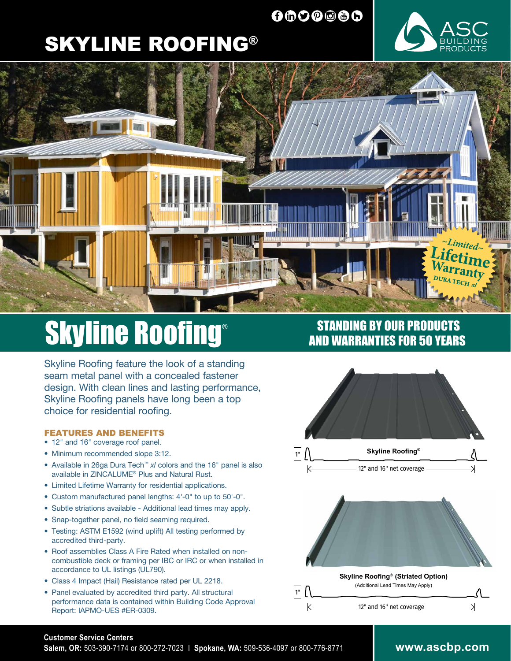## 0000000

# SKYLINE ROOFING®





# **Skyline Roofing®**

Skyline Roofing feature the look of a standing seam metal panel with a concealed fastener design. With clean lines and lasting performance, Skyline Roofing panels have long been a top choice for residential roofing.

#### FEATURES AND BENEFITS

- 12" and 16" coverage roof panel.
- Minimum recommended slope 3:12.
- Available in 26ga Dura Tech™ *xl* colors and the 16" panel is also available in ZINCALUME® Plus and Natural Rust.
- Limited Lifetime Warranty for residential applications.
- Custom manufactured panel lengths: 4'-0" to up to 50'-0".
- Subtle striations available Additional lead times may apply.
- Snap-together panel, no field seaming required.
- Testing: ASTM E1592 (wind uplift) All testing performed by accredited third-party.
- Roof assemblies Class A Fire Rated when installed on noncombustible deck or framing per IBC or IRC or when installed in accordance to UL listings (UL790).
- Class 4 Impact (Hail) Resistance rated per UL 2218.
- Panel evaluated by accredited third party. All structural performance data is contained within Building Code Approval Report: IAPMO-UES #ER-0309.

### STANDING BY OUR PRODUCTS AND WARRANTIES FOR 50 YEARS



#### **Customer Service Centers**

**Salem, OR:** 503-390-7174 or 800-272-7023 I **Spokane, WA:** 509-536-4097 or 800-776-8771

#### **www.ascbp.com**